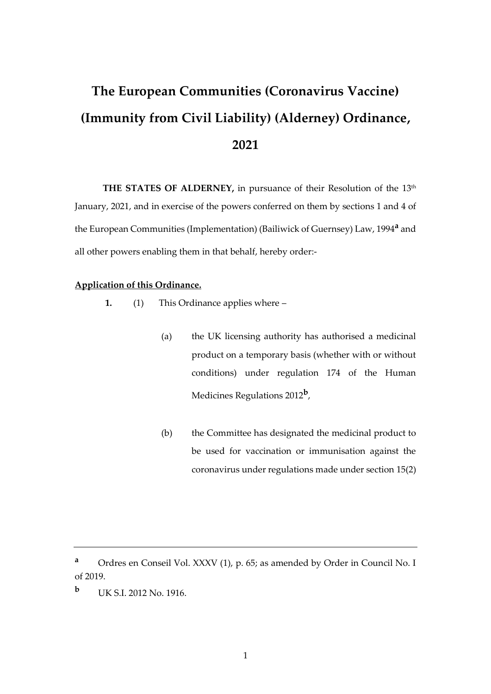# **The European Communities (Coronavirus Vaccine) (Immunity from Civil Liability) (Alderney) Ordinance, 2021**

THE STATES OF ALDERNEY, in pursuance of their Resolution of the 13<sup>th</sup> January, 2021, and in exercise of the powers conferred on them by sections 1 and 4 of the European Communities (Implementation) (Bailiwick of Guernsey) Law, 1994**<sup>a</sup>** and all other powers enabling them in that behalf, hereby order:-

## **Application of this Ordinance.**

- **1.** (1) This Ordinance applies where
	- (a) the UK licensing authority has authorised a medicinal product on a temporary basis (whether with or without conditions) under regulation 174 of the Human Medicines Regulations 2012**<sup>b</sup>** ,
	- (b) the Committee has designated the medicinal product to be used for vaccination or immunisation against the coronavirus under regulations made under section 15(2)

**<sup>a</sup>** Ordres en Conseil Vol. XXXV (1), p. 65; as amended by Order in Council No. I of 2019.

**b** UK S.I. 2012 No. 1916.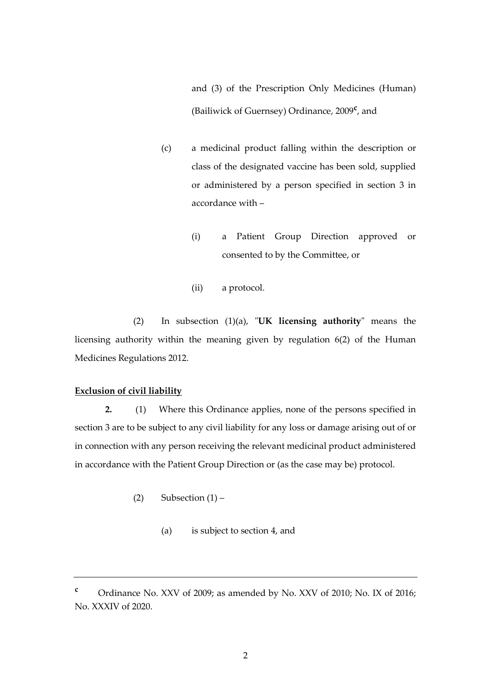and (3) of the Prescription Only Medicines (Human) (Bailiwick of Guernsey) Ordinance, 2009**<sup>c</sup>** , and

- (c) a medicinal product falling within the description or class of the designated vaccine has been sold, supplied or administered by a person specified in section 3 in accordance with –
	- (i) a Patient Group Direction approved or consented to by the Committee, or
	- (ii) a protocol.

(2) In subsection (1)(a), "**UK licensing authority**" means the licensing authority within the meaning given by regulation 6(2) of the Human Medicines Regulations 2012.

### **Exclusion of civil liability**

**2.** (1) Where this Ordinance applies, none of the persons specified in section 3 are to be subject to any civil liability for any loss or damage arising out of or in connection with any person receiving the relevant medicinal product administered in accordance with the Patient Group Direction or (as the case may be) protocol.

- (2) Subsection  $(1)$ 
	- (a) is subject to section 4, and

**<sup>c</sup>** Ordinance No. XXV of 2009; as amended by No. XXV of 2010; No. IX of 2016; No. XXXIV of 2020.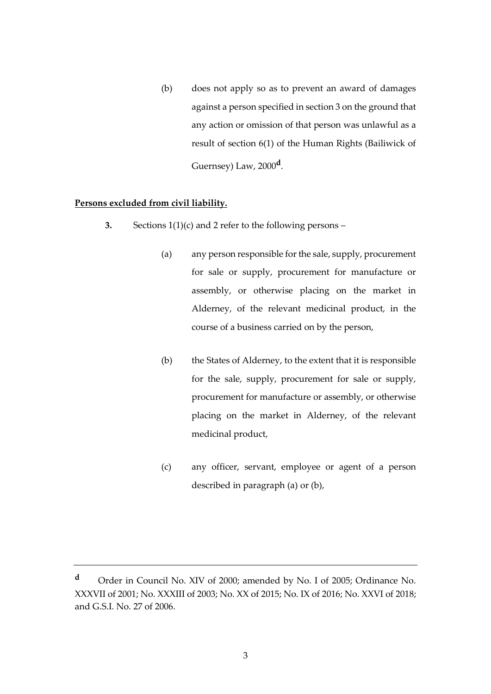(b) does not apply so as to prevent an award of damages against a person specified in section 3 on the ground that any action or omission of that person was unlawful as a result of section 6(1) of the Human Rights (Bailiwick of Guernsey) Law, 2000**<sup>d</sup>** .

### **Persons excluded from civil liability.**

- **3.** Sections 1(1)(c) and 2 refer to the following persons
	- (a) any person responsible for the sale, supply, procurement for sale or supply, procurement for manufacture or assembly, or otherwise placing on the market in Alderney, of the relevant medicinal product, in the course of a business carried on by the person,
	- (b) the States of Alderney, to the extent that it is responsible for the sale, supply, procurement for sale or supply, procurement for manufacture or assembly, or otherwise placing on the market in Alderney, of the relevant medicinal product,
	- (c) any officer, servant, employee or agent of a person described in paragraph (a) or (b),

**<sup>d</sup>** Order in Council No. XIV of 2000; amended by No. I of 2005; Ordinance No. XXXVII of 2001; No. XXXIII of 2003; No. XX of 2015; No. IX of 2016; No. XXVI of 2018; and G.S.I. No. 27 of 2006.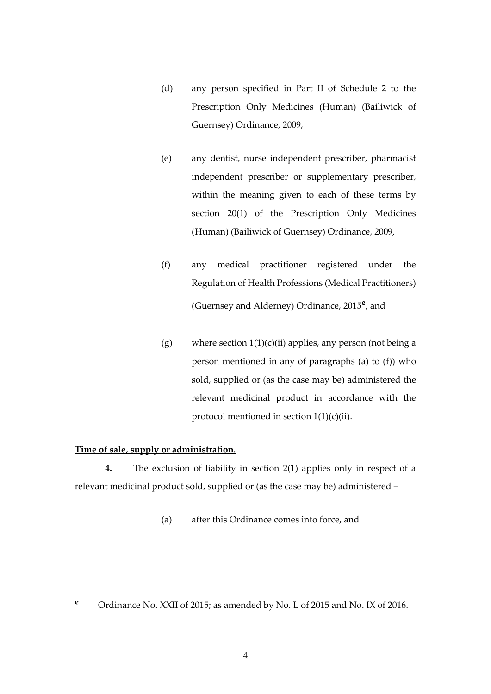- (d) any person specified in Part II of Schedule 2 to the Prescription Only Medicines (Human) (Bailiwick of Guernsey) Ordinance, 2009,
- (e) any dentist, nurse independent prescriber, pharmacist independent prescriber or supplementary prescriber, within the meaning given to each of these terms by section 20(1) of the Prescription Only Medicines (Human) (Bailiwick of Guernsey) Ordinance, 2009,
- (f) any medical practitioner registered under the Regulation of Health Professions (Medical Practitioners) (Guernsey and Alderney) Ordinance, 2015**<sup>e</sup>** , and
- (g) where section  $1(1)(c)(ii)$  applies, any person (not being a person mentioned in any of paragraphs (a) to (f)) who sold, supplied or (as the case may be) administered the relevant medicinal product in accordance with the protocol mentioned in section 1(1)(c)(ii).

## **Time of sale, supply or administration.**

**4.** The exclusion of liability in section 2(1) applies only in respect of a relevant medicinal product sold, supplied or (as the case may be) administered –

(a) after this Ordinance comes into force, and

**<sup>e</sup>** Ordinance No. XXII of 2015; as amended by No. L of 2015 and No. IX of 2016.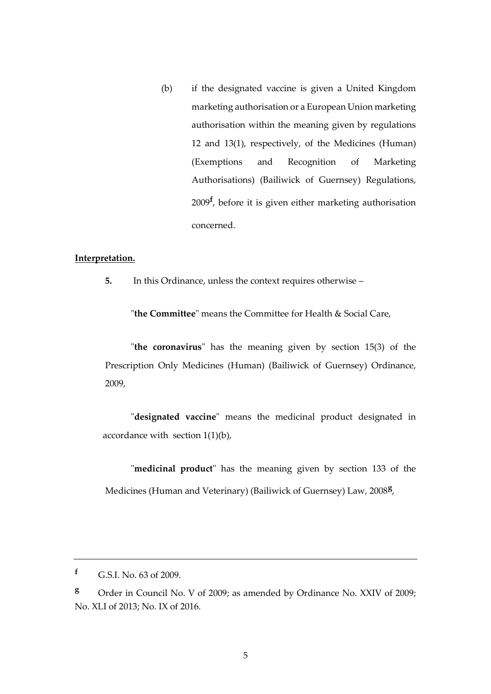(b) if the designated vaccine is given a United Kingdom marketing authorisation or a European Union marketing authorisation within the meaning given by regulations 12 and 13(1), respectively, of the Medicines (Human) (Exemptions and Recognition of Marketing Authorisations) (Bailiwick of Guernsey) Regulations, 2009**<sup>f</sup>** , before it is given either marketing authorisation concerned.

## **Interpretation.**

**5.** In this Ordinance, unless the context requires otherwise –

"**the Committee**" means the Committee for Health & Social Care,

"**the coronavirus**" has the meaning given by section 15(3) of the Prescription Only Medicines (Human) (Bailiwick of Guernsey) Ordinance, 2009,

"**designated vaccine**" means the medicinal product designated in accordance with section 1(1)(b),

"**medicinal product**" has the meaning given by section 133 of the Medicines (Human and Veterinary) (Bailiwick of Guernsey) Law, 2008**<sup>g</sup>** ,

**<sup>f</sup>** G.S.I. No. 63 of 2009.

**<sup>g</sup>** Order in Council No. V of 2009; as amended by Ordinance No. XXIV of 2009; No. XLI of 2013; No. IX of 2016.